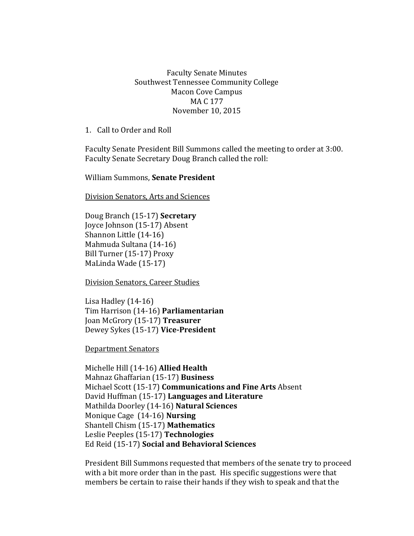## Faculty Senate Minutes Southwest Tennessee Community College Macon Cove Campus MA C 177 November 10, 2015

1. Call to Order and Roll

Faculty Senate President Bill Summons called the meeting to order at 3:00. Faculty Senate Secretary Doug Branch called the roll:

William Summons, **Senate President**

Division Senators, Arts and Sciences

Doug Branch (15-17) **Secretary** Joyce Johnson (15-17) Absent Shannon Little (14-16) Mahmuda Sultana (14-16) Bill Turner (15-17) Proxy MaLinda Wade (15-17)

Division Senators, Career Studies

Lisa Hadley (14-16) Tim Harrison (14-16) **Parliamentarian** Joan McGrory (15-17) **Treasurer** Dewey Sykes (15-17) **Vice-President**

Department Senators

Michelle Hill (14-16) **Allied Health** Mahnaz Ghaffarian (15-17) **Business** Michael Scott (15-17) **Communications and Fine Arts** Absent David Huffman (15-17) **Languages and Literature** Mathilda Doorley (14-16) **Natural Sciences** Monique Cage (14-16) **Nursing** Shantell Chism (15-17) **Mathematics** Leslie Peeples (15-17) **Technologies**  Ed Reid (15-17) **Social and Behavioral Sciences**

President Bill Summons requested that members of the senate try to proceed with a bit more order than in the past. His specific suggestions were that members be certain to raise their hands if they wish to speak and that the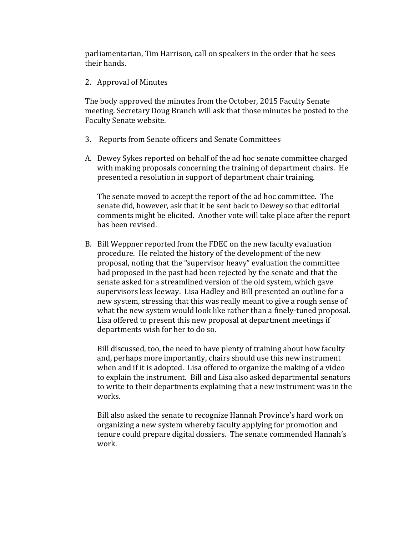parliamentarian, Tim Harrison, call on speakers in the order that he sees their hands.

2. Approval of Minutes

The body approved the minutes from the October, 2015 Faculty Senate meeting. Secretary Doug Branch will ask that those minutes be posted to the Faculty Senate website.

- 3. Reports from Senate officers and Senate Committees
- A. Dewey Sykes reported on behalf of the ad hoc senate committee charged with making proposals concerning the training of department chairs. He presented a resolution in support of department chair training.

The senate moved to accept the report of the ad hoc committee. The senate did, however, ask that it be sent back to Dewey so that editorial comments might be elicited. Another vote will take place after the report has been revised.

B. Bill Weppner reported from the FDEC on the new faculty evaluation procedure. He related the history of the development of the new proposal, noting that the "supervisor heavy" evaluation the committee had proposed in the past had been rejected by the senate and that the senate asked for a streamlined version of the old system, which gave supervisors less leeway. Lisa Hadley and Bill presented an outline for a new system, stressing that this was really meant to give a rough sense of what the new system would look like rather than a finely-tuned proposal. Lisa offered to present this new proposal at department meetings if departments wish for her to do so.

Bill discussed, too, the need to have plenty of training about how faculty and, perhaps more importantly, chairs should use this new instrument when and if it is adopted. Lisa offered to organize the making of a video to explain the instrument. Bill and Lisa also asked departmental senators to write to their departments explaining that a new instrument was in the works.

Bill also asked the senate to recognize Hannah Province's hard work on organizing a new system whereby faculty applying for promotion and tenure could prepare digital dossiers. The senate commended Hannah's work.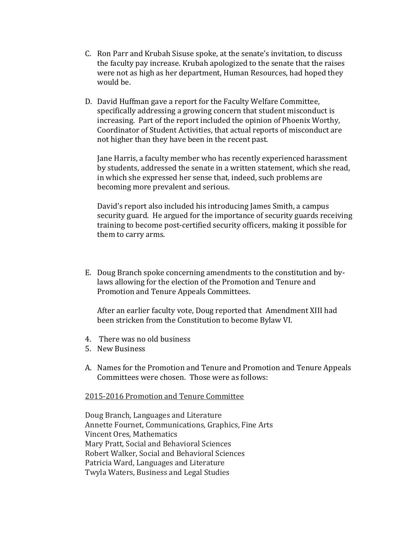- C. Ron Parr and Krubah Sisuse spoke, at the senate's invitation, to discuss the faculty pay increase. Krubah apologized to the senate that the raises were not as high as her department, Human Resources, had hoped they would be.
- D. David Huffman gave a report for the Faculty Welfare Committee, specifically addressing a growing concern that student misconduct is increasing. Part of the report included the opinion of Phoenix Worthy, Coordinator of Student Activities, that actual reports of misconduct are not higher than they have been in the recent past.

Jane Harris, a faculty member who has recently experienced harassment by students, addressed the senate in a written statement, which she read, in which she expressed her sense that, indeed, such problems are becoming more prevalent and serious.

David's report also included his introducing James Smith, a campus security guard. He argued for the importance of security guards receiving training to become post-certified security officers, making it possible for them to carry arms.

E. Doug Branch spoke concerning amendments to the constitution and bylaws allowing for the election of the Promotion and Tenure and Promotion and Tenure Appeals Committees.

After an earlier faculty vote, Doug reported that Amendment XIII had been stricken from the Constitution to become Bylaw VI.

- 4. There was no old business
- 5. New Business
- A. Names for the Promotion and Tenure and Promotion and Tenure Appeals Committees were chosen. Those were as follows:

## 2015-2016 Promotion and Tenure Committee

Doug Branch, Languages and Literature Annette Fournet, Communications, Graphics, Fine Arts Vincent Ores, Mathematics Mary Pratt, Social and Behavioral Sciences Robert Walker, Social and Behavioral Sciences Patricia Ward, Languages and Literature Twyla Waters, Business and Legal Studies